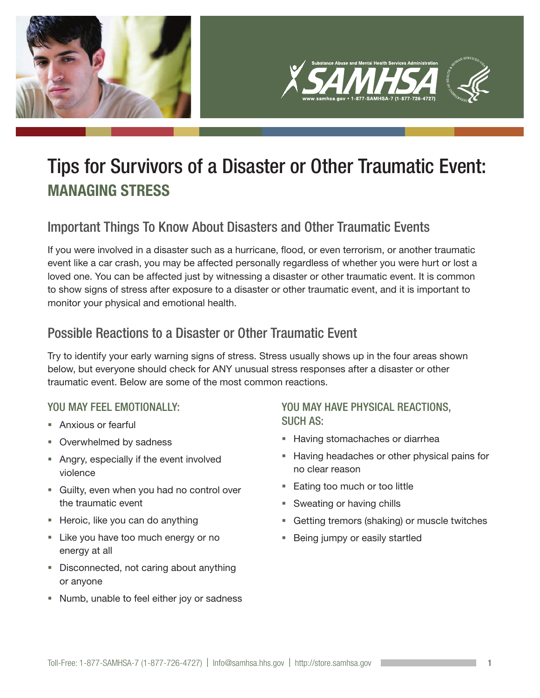

## Tips for Survivors of a Disaster or Other Traumatic Event: MANAGING STRESS

## Important Things To Know About Disasters and Other Traumatic Events

If you were involved in a disaster such as a hurricane, flood, or even terrorism, or another traumatic event like a car crash, you may be affected personally regardless of whether you were hurt or lost a loved one. You can be affected just by witnessing a disaster or other traumatic event. It is common to show signs of stress after exposure to a disaster or other traumatic event, and it is important to monitor your physical and emotional health.

## Possible Reactions to a Disaster or Other Traumatic Event

Try to identify your early warning signs of stress. Stress usually shows up in the four areas shown below, but everyone should check for ANY unusual stress responses after a disaster or other traumatic event. Below are some of the most common reactions.

#### YOU MAY FEEL EMOTIONALLY:

- Anxious or fearful
- Overwhelmed by sadness
- Angry, especially if the event involved violence
- Guilty, even when you had no control over the traumatic event
- Heroic, like you can do anything
- Like you have too much energy or no energy at all
- Disconnected, not caring about anything or anyone
- Numb, unable to feel either joy or sadness

#### YOU MAY HAVE PHYSICAL REACTIONS, SUCH AS:

- **Having stomachaches or diarrhea**
- **Having headaches or other physical pains for** no clear reason
- **Eating too much or too little**
- **Sweating or having chills**
- **Getting tremors (shaking) or muscle twitches**
- a. Being jumpy or easily startled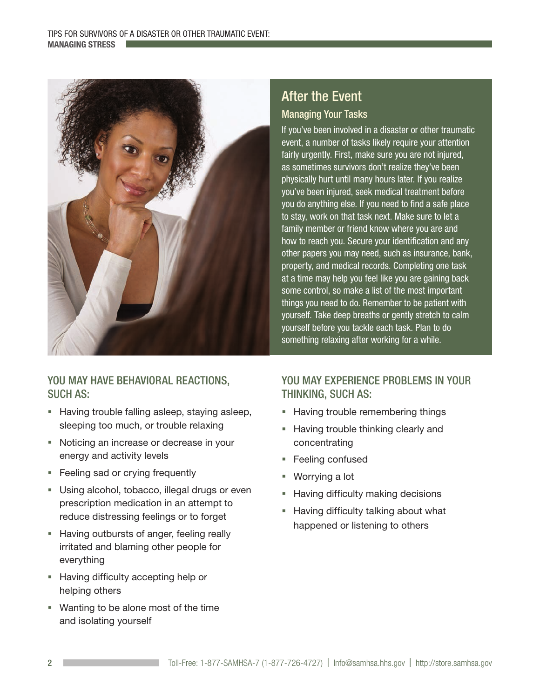

#### YOU MAY HAVE BEHAVIORAL REACTIONS, SUCH AS:

- **Having trouble falling asleep, staying asleep,** sleeping too much, or trouble relaxing
- Noticing an increase or decrease in your energy and activity levels
- **Feeling sad or crying frequently**
- **Using alcohol, tobacco, illegal drugs or even** prescription medication in an attempt to reduce distressing feelings or to forget
- **Having outbursts of anger, feeling really** irritated and blaming other people for everything
- **Having difficulty accepting help or** helping others
- Wanting to be alone most of the time and isolating yourself

### After the Event Managing Your Tasks

If you've been involved in a disaster or other traumatic event, a number of tasks likely require your attention fairly urgently. First, make sure you are not injured, as sometimes survivors don't realize they've been physically hurt until many hours later. If you realize you've been injured, seek medical treatment before you do anything else. If you need to find a safe place to stay, work on that task next. Make sure to let a family member or friend know where you are and how to reach you. Secure your identification and any other papers you may need, such as insurance, bank, property, and medical records. Completing one task at a time may help you feel like you are gaining back some control, so make a list of the most important things you need to do. Remember to be patient with yourself. Take deep breaths or gently stretch to calm yourself before you tackle each task. Plan to do something relaxing after working for a while.

#### YOU MAY EXPERIENCE PROBLEMS IN YOUR THINKING, SUCH AS:

- **Having trouble remembering things**
- a. Having trouble thinking clearly and concentrating
- **Feeling confused**
- Worrying a lot
- Having difficulty making decisions
- a. Having difficulty talking about what happened or listening to others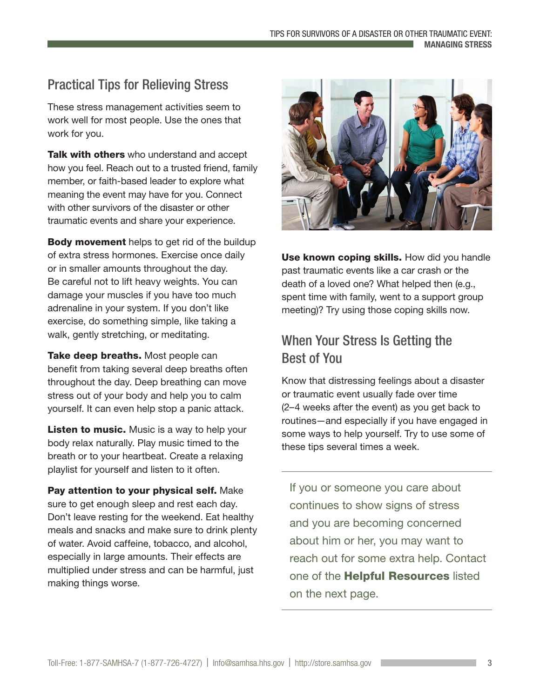## Practical Tips for Relieving Stress

These stress management activities seem to work well for most people. Use the ones that work for you.

Talk with others who understand and accept how you feel. Reach out to a trusted friend, family member, or faith-based leader to explore what meaning the event may have for you. Connect with other survivors of the disaster or other traumatic events and share your experience.

**Body movement** helps to get rid of the buildup of extra stress hormones. Exercise once daily or in smaller amounts throughout the day. Be careful not to lift heavy weights. You can damage your muscles if you have too much adrenaline in your system. If you don't like exercise, do something simple, like taking a walk, gently stretching, or meditating.

Take deep breaths. Most people can benefit from taking several deep breaths often throughout the day. Deep breathing can move stress out of your body and help you to calm yourself. It can even help stop a panic attack.

**Listen to music.** Music is a way to help your body relax naturally. Play music timed to the breath or to your heartbeat. Create a relaxing playlist for yourself and listen to it often.

Pay attention to your physical self. Make sure to get enough sleep and rest each day. Don't leave resting for the weekend. Eat healthy meals and snacks and make sure to drink plenty of water. Avoid caffeine, tobacco, and alcohol, especially in large amounts. Their effects are multiplied under stress and can be harmful, just making things worse.



Use known coping skills. How did you handle past traumatic events like a car crash or the death of a loved one? What helped then (e.g., spent time with family, went to a support group meeting)? Try using those coping skills now.

## When Your Stress Is Getting the Best of You

Know that distressing feelings about a disaster or traumatic event usually fade over time (2–4 weeks after the event) as you get back to routines—and especially if you have engaged in some ways to help yourself. Try to use some of these tips several times a week.

If you or someone you care about continues to show signs of stress and you are becoming concerned about him or her, you may want to reach out for some extra help. Contact one of the **Helpful Resources** listed on the next page.